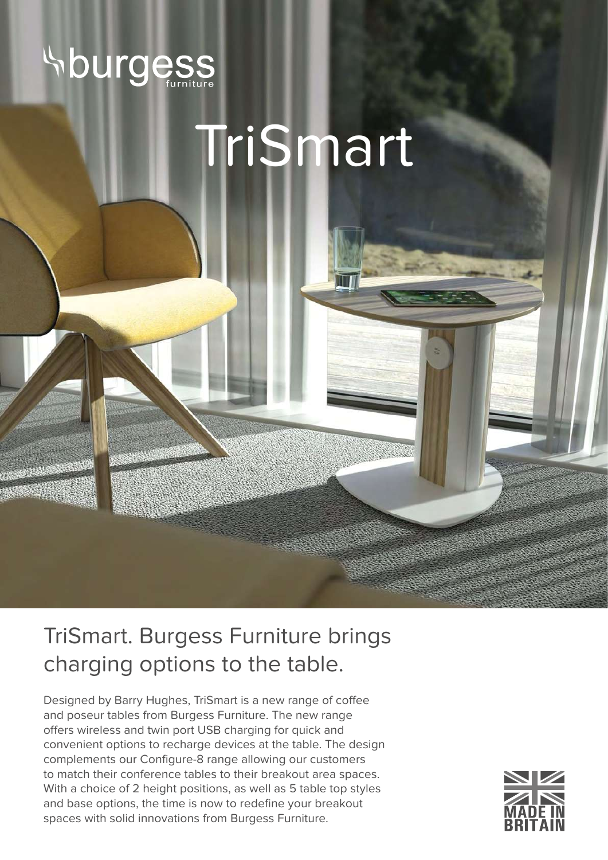

## TriSmart

## TriSmart. Burgess Furniture brings charging options to the table.

Designed by Barry Hughes, TriSmart is a new range of coffee and poseur tables from Burgess Furniture. The new range offers wireless and twin port USB charging for quick and convenient options to recharge devices at the table. The design complements our Configure-8 range allowing our customers to match their conference tables to their breakout area spaces. With a choice of 2 height positions, as well as 5 table top styles and base options, the time is now to redefine your breakout spaces with solid innovations from Burgess Furniture.